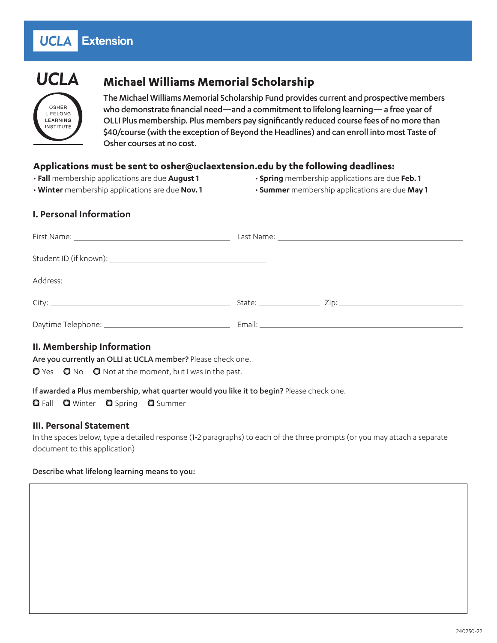#### Extension **UCLA**



LIFELONG LEARNING **INSTITUTE** 

# **Michael Williams Memorial Scholarship**

The Michael Williams Memorial Scholarship Fund provides current and prospective members who demonstrate financial need—and a commitment to lifelong learning— a free year of OLLI Plus membership. Plus members pay significantly reduced course fees of no more than \$40/course (with the exception of Beyond the Headlines) and can enroll into most Taste of Osher courses at no cost.

# **Applications must be sent to osher@uclaextension.edu by the following deadlines:**

- • **Fall** membership applications are due **August 1**
- **Winter** membership applications are due **Nov. 1**
- **Spring** membership applications are due **Feb. 1**
- **Summer** membership applications are due **May 1**

# **I. Personal Information**

| Address: Note that the set of the set of the set of the set of the set of the set of the set of the set of the |  |
|----------------------------------------------------------------------------------------------------------------|--|
|                                                                                                                |  |
|                                                                                                                |  |

# **II. Membership Information**

Are you currently an OLLI at UCLA member? Please check one.

 $\bullet$  Yes  $\bullet$  No  $\bullet$  Not at the moment, but I was in the past.

#### If awarded a Plus membership, what quarter would you like it to begin? Please check one.

**Q** Fall **Q** Winter **Q** Spring **Q** Summer

# **III. Personal Statement**

In the spaces below, type a detailed response (1-2 paragraphs) to each of the three prompts (or you may attach a separate document to this application)

#### Describe what lifelong learning means to you: